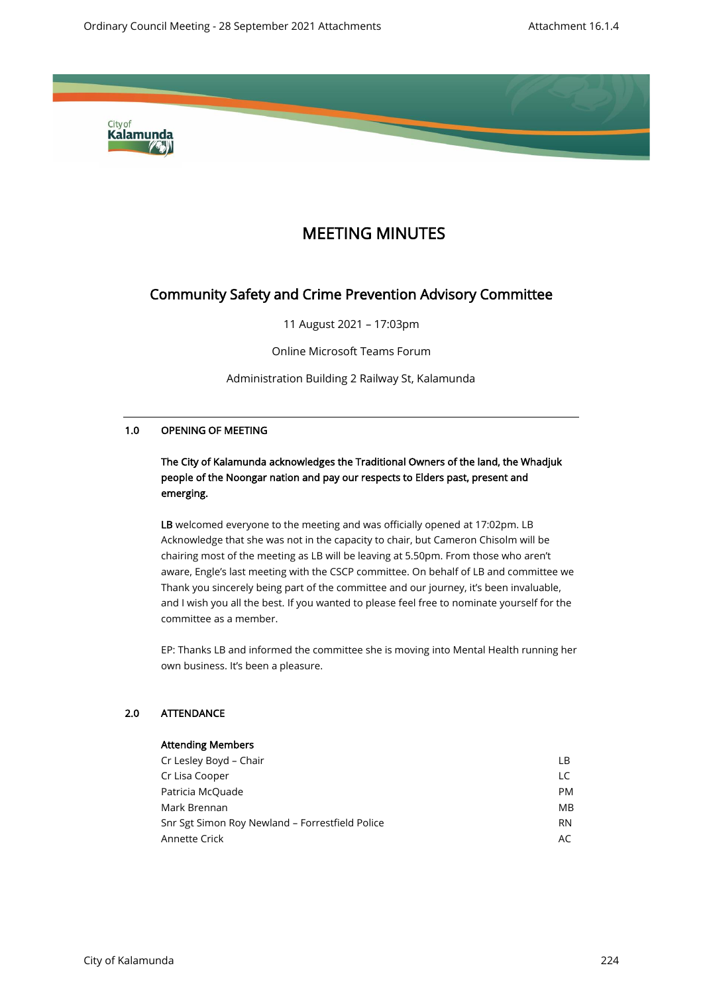

# MEETING MINUTES

# Community Safety and Crime Prevention Advisory Committee

11 August 2021 – 17:03pm

Online Microsoft Teams Forum

Administration Building 2 Railway St, Kalamunda

### 1.0 OPENING OF MEETING

# The City of Kalamunda acknowledges the Traditional Owners of the land, the Whadjuk people of the Noongar nation and pay our respects to Elders past, present and emerging.

LB welcomed everyone to the meeting and was officially opened at 17:02pm. LB Acknowledge that she was not in the capacity to chair, but Cameron Chisolm will be chairing most of the meeting as LB will be leaving at 5.50pm. From those who aren't aware, Engle's last meeting with the CSCP committee. On behalf of LB and committee we Thank you sincerely being part of the committee and our journey, it's been invaluable, and I wish you all the best. If you wanted to please feel free to nominate yourself for the committee as a member.

EP: Thanks LB and informed the committee she is moving into Mental Health running her own business. It's been a pleasure.

## 2.0 ATTENDANCE

| <b>Attending Members</b>                        |           |
|-------------------------------------------------|-----------|
| Cr Lesley Boyd - Chair                          | LВ        |
| Cr Lisa Cooper                                  | LC        |
| Patricia McQuade                                | <b>PM</b> |
| Mark Brennan                                    | MB        |
| Snr Sgt Simon Roy Newland - Forrestfield Police | <b>RN</b> |
| Annette Crick                                   | AC        |
|                                                 |           |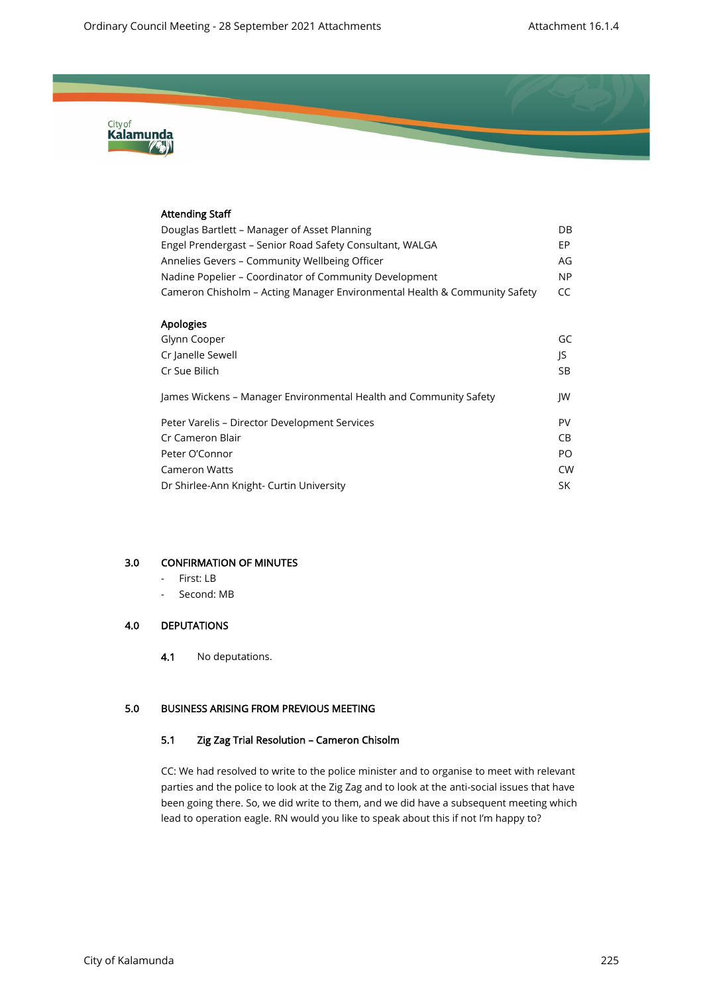

# Attending Staff Douglas Bartlett – Manager of Asset Planning DB Engel Prendergast - Senior Road Safety Consultant, WALGA Annelies Gevers – Community Wellbeing Officer AG Nadine Popelier – Coordinator of Community Development NP Cameron Chisholm – Acting Manager Environmental Health & Community Safety CC Apologies Glynn Cooper GC Cr Janelle Sewell JS **Cr Sue Bilich SB 2018** James Wickens – Manager Environmental Health and Community Safety JW Peter Varelis – Director Development Services PN and the Variation of PV **Cr Cameron Blair** CB Peter O'Connor Policy and the extension of the extension of the extension of the extension of the extension of  $PQ$ Cameron Watts CW Dr Shirlee-Ann Knight- Curtin University SK

#### 3.0 CONFIRMATION OF MINUTES

- First: LB
- Second: MB

#### 4.0 DEPUTATIONS

4.1 No deputations.

#### 5.0 BUSINESS ARISING FROM PREVIOUS MEETING

#### 5.1 Zig Zag Trial Resolution – Cameron Chisolm

CC: We had resolved to write to the police minister and to organise to meet with relevant parties and the police to look at the Zig Zag and to look at the anti-social issues that have been going there. So, we did write to them, and we did have a subsequent meeting which lead to operation eagle. RN would you like to speak about this if not I'm happy to?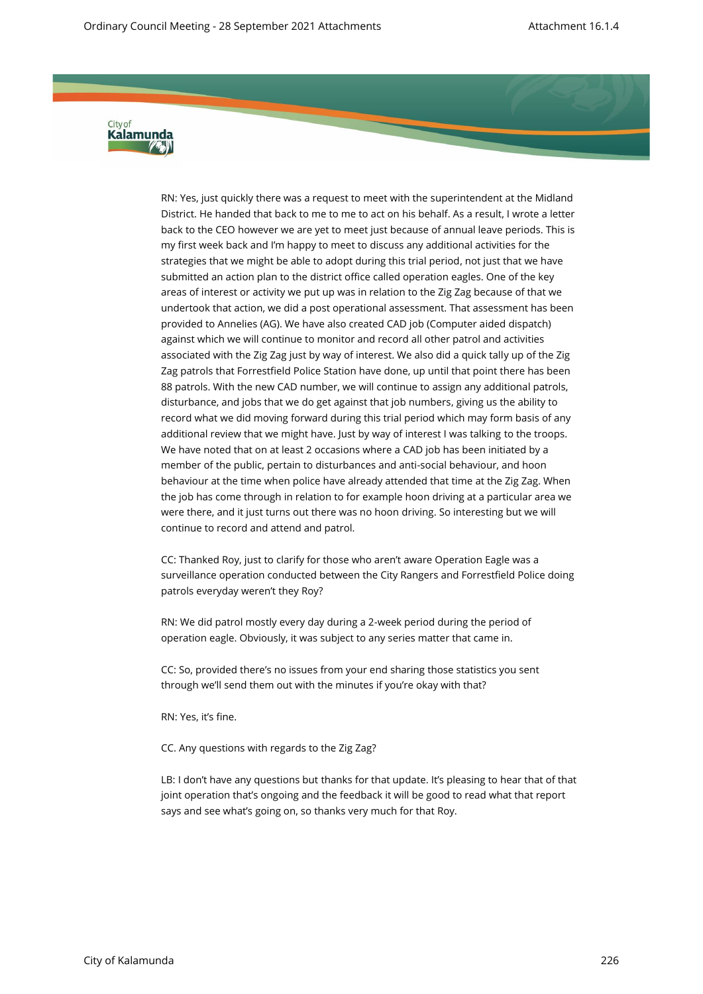

RN: Yes, just quickly there was a request to meet with the superintendent at the Midland District. He handed that back to me to me to act on his behalf. As a result, I wrote a letter back to the CEO however we are yet to meet just because of annual leave periods. This is my first week back and I'm happy to meet to discuss any additional activities for the strategies that we might be able to adopt during this trial period, not just that we have submitted an action plan to the district office called operation eagles. One of the key areas of interest or activity we put up was in relation to the Zig Zag because of that we undertook that action, we did a post operational assessment. That assessment has been provided to Annelies (AG). We have also created CAD job (Computer aided dispatch) against which we will continue to monitor and record all other patrol and activities associated with the Zig Zag just by way of interest. We also did a quick tally up of the Zig Zag patrols that Forrestfield Police Station have done, up until that point there has been 88 patrols. With the new CAD number, we will continue to assign any additional patrols, disturbance, and jobs that we do get against that job numbers, giving us the ability to record what we did moving forward during this trial period which may form basis of any additional review that we might have. Just by way of interest I was talking to the troops. We have noted that on at least 2 occasions where a CAD job has been initiated by a member of the public, pertain to disturbances and anti-social behaviour, and hoon behaviour at the time when police have already attended that time at the Zig Zag. When the job has come through in relation to for example hoon driving at a particular area we were there, and it just turns out there was no hoon driving. So interesting but we will continue to record and attend and patrol.

CC: Thanked Roy, just to clarify for those who aren't aware Operation Eagle was a surveillance operation conducted between the City Rangers and Forrestfield Police doing patrols everyday weren't they Roy?

RN: We did patrol mostly every day during a 2-week period during the period of operation eagle. Obviously, it was subject to any series matter that came in.

CC: So, provided there's no issues from your end sharing those statistics you sent through we'll send them out with the minutes if you're okay with that?

RN: Yes, it's fine.

CC. Any questions with regards to the Zig Zag?

LB: I don't have any questions but thanks for that update. It's pleasing to hear that of that joint operation that's ongoing and the feedback it will be good to read what that report says and see what's going on, so thanks very much for that Roy.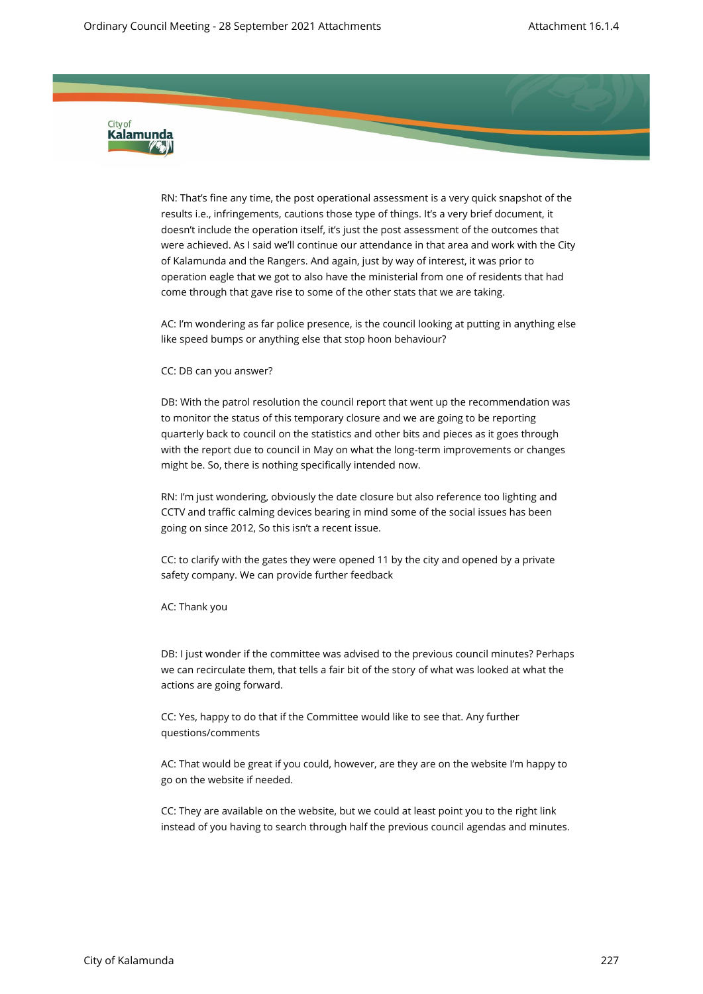

RN: That's fine any time, the post operational assessment is a very quick snapshot of the results i.e., infringements, cautions those type of things. It's a very brief document, it doesn't include the operation itself, it's just the post assessment of the outcomes that were achieved. As I said we'll continue our attendance in that area and work with the City of Kalamunda and the Rangers. And again, just by way of interest, it was prior to operation eagle that we got to also have the ministerial from one of residents that had come through that gave rise to some of the other stats that we are taking.

AC: I'm wondering as far police presence, is the council looking at putting in anything else like speed bumps or anything else that stop hoon behaviour?

CC: DB can you answer?

DB: With the patrol resolution the council report that went up the recommendation was to monitor the status of this temporary closure and we are going to be reporting quarterly back to council on the statistics and other bits and pieces as it goes through with the report due to council in May on what the long-term improvements or changes might be. So, there is nothing specifically intended now.

RN: I'm just wondering, obviously the date closure but also reference too lighting and CCTV and traffic calming devices bearing in mind some of the social issues has been going on since 2012, So this isn't a recent issue.

CC: to clarify with the gates they were opened 11 by the city and opened by a private safety company. We can provide further feedback

AC: Thank you

DB: I just wonder if the committee was advised to the previous council minutes? Perhaps we can recirculate them, that tells a fair bit of the story of what was looked at what the actions are going forward.

CC: Yes, happy to do that if the Committee would like to see that. Any further questions/comments

AC: That would be great if you could, however, are they are on the website I'm happy to go on the website if needed.

CC: They are available on the website, but we could at least point you to the right link instead of you having to search through half the previous council agendas and minutes.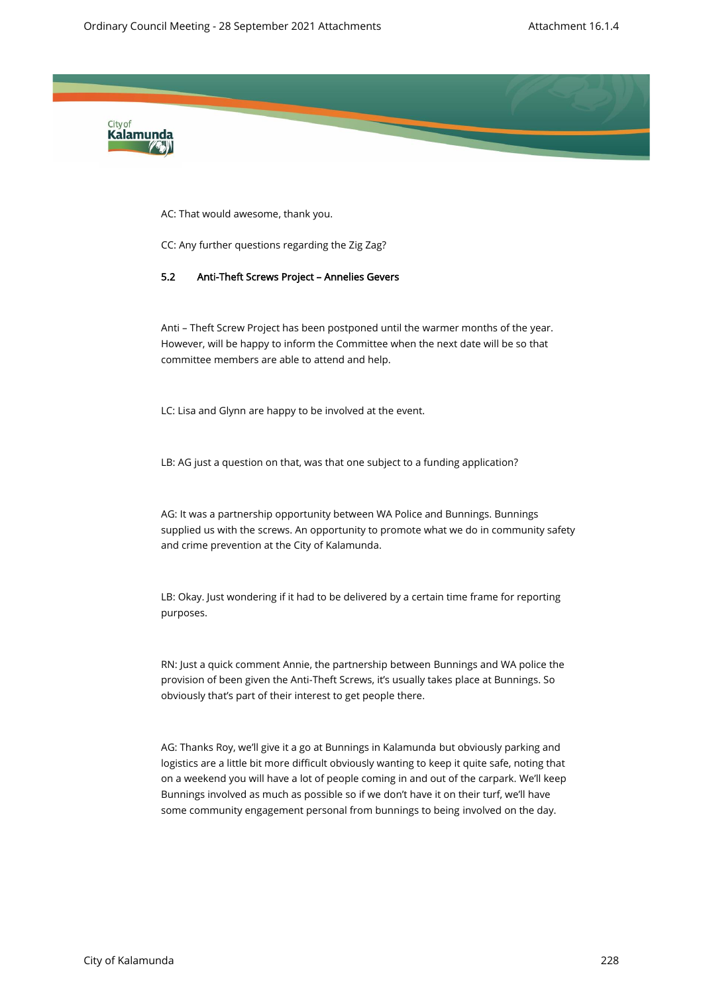

AC: That would awesome, thank you.

CC: Any further questions regarding the Zig Zag?

#### 5.2 Anti-Theft Screws Project – Annelies Gevers

Anti – Theft Screw Project has been postponed until the warmer months of the year. However, will be happy to inform the Committee when the next date will be so that committee members are able to attend and help.

LC: Lisa and Glynn are happy to be involved at the event.

LB: AG just a question on that, was that one subject to a funding application?

AG: It was a partnership opportunity between WA Police and Bunnings. Bunnings supplied us with the screws. An opportunity to promote what we do in community safety and crime prevention at the City of Kalamunda.

LB: Okay. Just wondering if it had to be delivered by a certain time frame for reporting purposes.

RN: Just a quick comment Annie, the partnership between Bunnings and WA police the provision of been given the Anti-Theft Screws, it's usually takes place at Bunnings. So obviously that's part of their interest to get people there.

AG: Thanks Roy, we'll give it a go at Bunnings in Kalamunda but obviously parking and logistics are a little bit more difficult obviously wanting to keep it quite safe, noting that on a weekend you will have a lot of people coming in and out of the carpark. We'll keep Bunnings involved as much as possible so if we don't have it on their turf, we'll have some community engagement personal from bunnings to being involved on the day.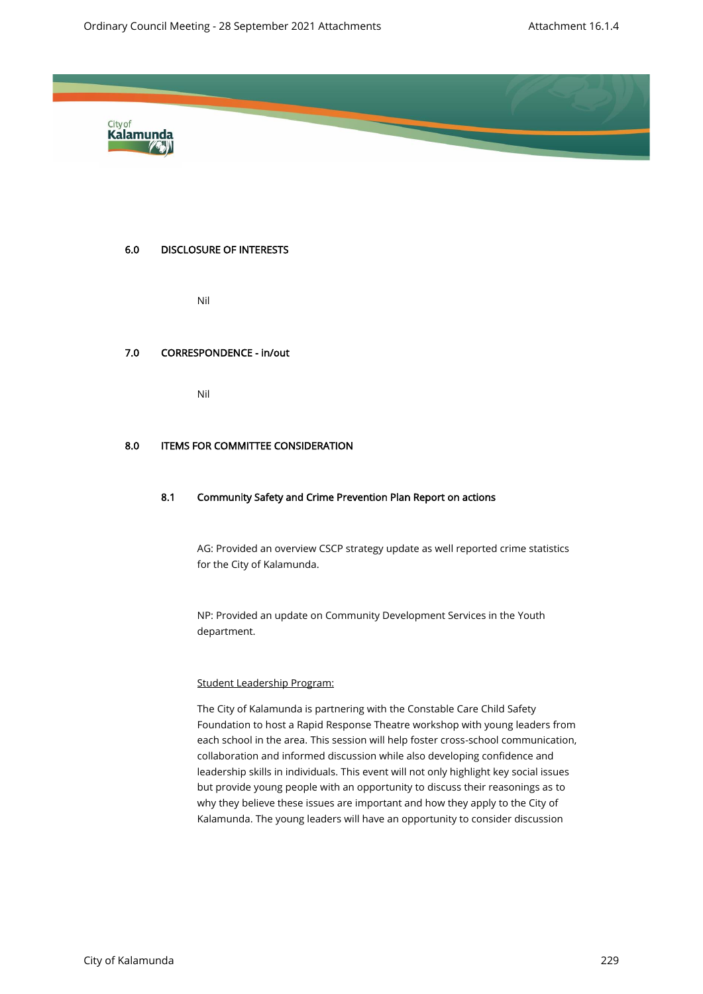

#### 6.0 DISCLOSURE OF INTERESTS

Nil

#### 7.0 CORRESPONDENCE - in/out

Nil

#### 8.0 ITEMS FOR COMMITTEE CONSIDERATION

#### 8.1 Community Safety and Crime Prevention Plan Report on actions

AG: Provided an overview CSCP strategy update as well reported crime statistics for the City of Kalamunda.

NP: Provided an update on Community Development Services in the Youth department.

#### Student Leadership Program:

The City of Kalamunda is partnering with the Constable Care Child Safety Foundation to host a Rapid Response Theatre workshop with young leaders from each school in the area. This session will help foster cross-school communication, collaboration and informed discussion while also developing confidence and leadership skills in individuals. This event will not only highlight key social issues but provide young people with an opportunity to discuss their reasonings as to why they believe these issues are important and how they apply to the City of Kalamunda. The young leaders will have an opportunity to consider discussion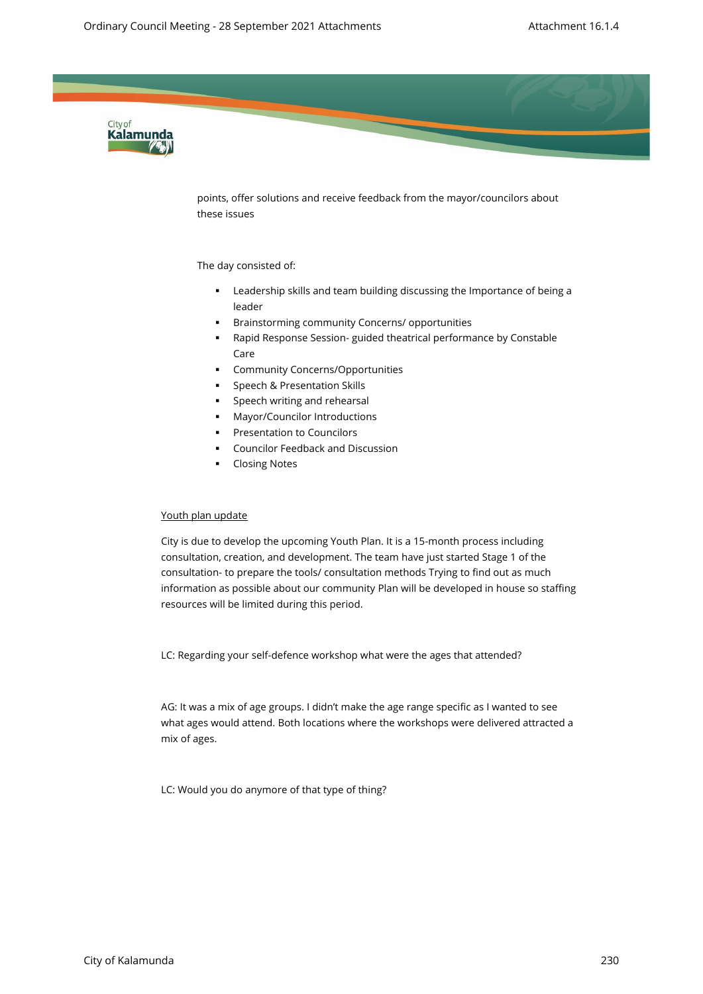

points, offer solutions and receive feedback from the mayor/councilors about these issues

#### The day consisted of:

- Leadership skills and team building discussing the Importance of being a leader
- Brainstorming community Concerns/ opportunities
- Rapid Response Session- guided theatrical performance by Constable Care
- Community Concerns/Opportunities
- **•** Speech & Presentation Skills
- **•** Speech writing and rehearsal
- Mayor/Councilor Introductions
- Presentation to Councilors
- **Councilor Feedback and Discussion**
- **Closing Notes**

#### Youth plan update

City is due to develop the upcoming Youth Plan. It is a 15-month process including consultation, creation, and development. The team have just started Stage 1 of the consultation- to prepare the tools/ consultation methods Trying to find out as much information as possible about our community Plan will be developed in house so staffing resources will be limited during this period.

LC: Regarding your self-defence workshop what were the ages that attended?

AG: It was a mix of age groups. I didn't make the age range specific as I wanted to see what ages would attend. Both locations where the workshops were delivered attracted a mix of ages.

LC: Would you do anymore of that type of thing?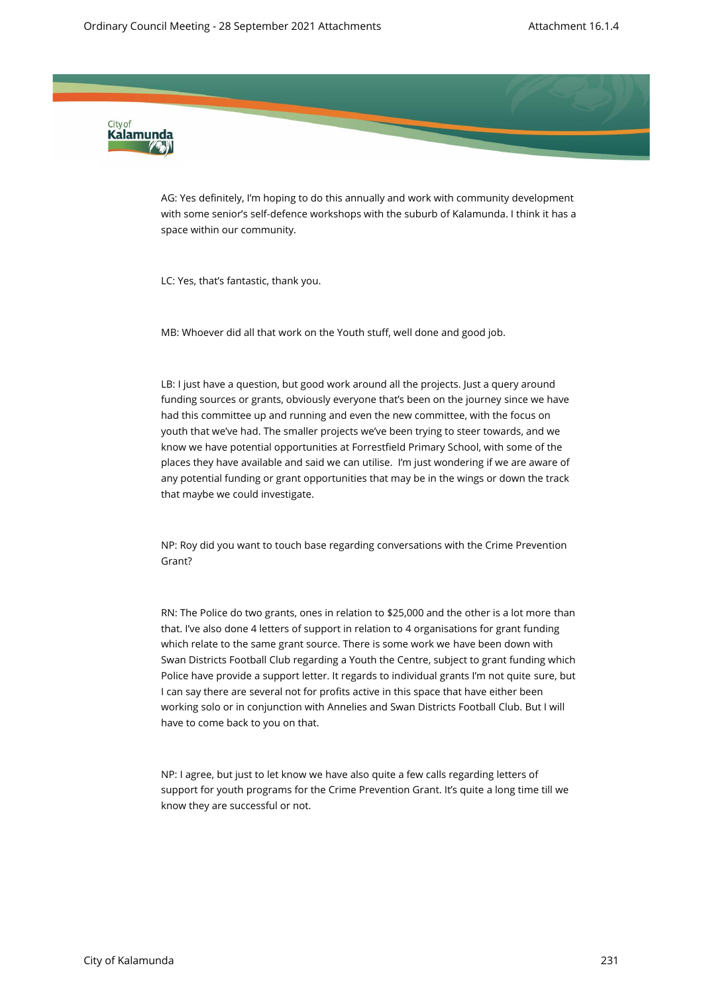

AG: Yes definitely, I'm hoping to do this annually and work with community development with some senior's self-defence workshops with the suburb of Kalamunda. I think it has a space within our community.

LC: Yes, that's fantastic, thank you.

MB: Whoever did all that work on the Youth stuff, well done and good job.

LB: I just have a question, but good work around all the projects. Just a query around funding sources or grants, obviously everyone that's been on the journey since we have had this committee up and running and even the new committee, with the focus on youth that we've had. The smaller projects we've been trying to steer towards, and we know we have potential opportunities at Forrestfield Primary School, with some of the places they have available and said we can utilise. I'm just wondering if we are aware of any potential funding or grant opportunities that may be in the wings or down the track that maybe we could investigate.

NP: Roy did you want to touch base regarding conversations with the Crime Prevention Grant?

RN: The Police do two grants, ones in relation to \$25,000 and the other is a lot more than that. I've also done 4 letters of support in relation to 4 organisations for grant funding which relate to the same grant source. There is some work we have been down with Swan Districts Football Club regarding a Youth the Centre, subject to grant funding which Police have provide a support letter. It regards to individual grants I'm not quite sure, but I can say there are several not for profits active in this space that have either been working solo or in conjunction with Annelies and Swan Districts Football Club. But I will have to come back to you on that.

NP: I agree, but just to let know we have also quite a few calls regarding letters of support for youth programs for the Crime Prevention Grant. It's quite a long time till we know they are successful or not.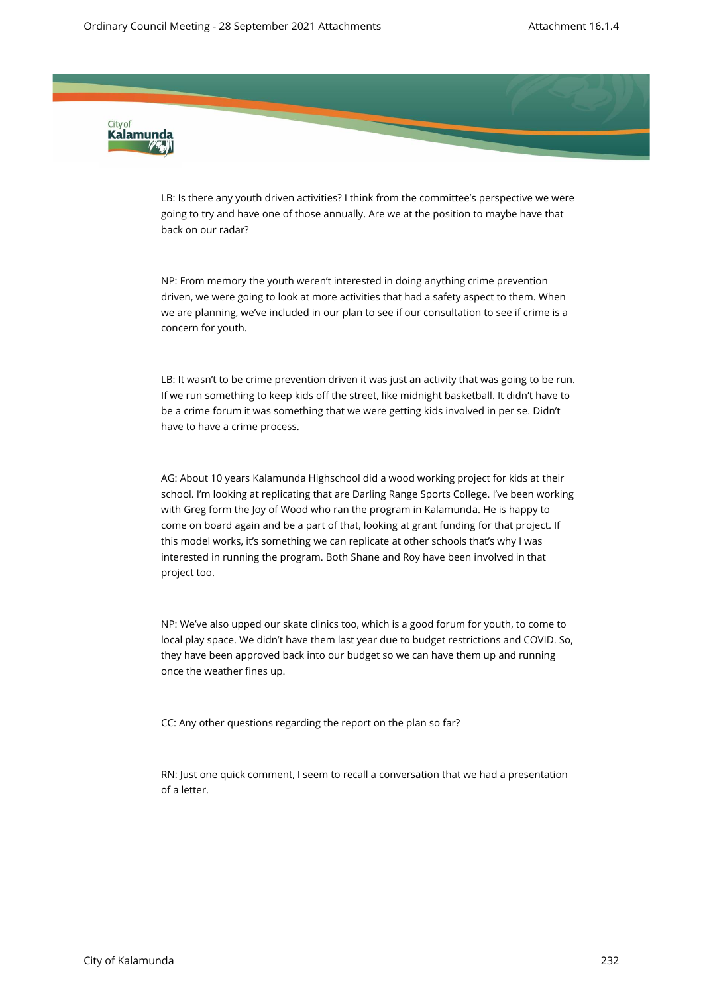

LB: Is there any youth driven activities? I think from the committee's perspective we were going to try and have one of those annually. Are we at the position to maybe have that back on our radar?

NP: From memory the youth weren't interested in doing anything crime prevention driven, we were going to look at more activities that had a safety aspect to them. When we are planning, we've included in our plan to see if our consultation to see if crime is a concern for youth.

LB: It wasn't to be crime prevention driven it was just an activity that was going to be run. If we run something to keep kids off the street, like midnight basketball. It didn't have to be a crime forum it was something that we were getting kids involved in per se. Didn't have to have a crime process.

AG: About 10 years Kalamunda Highschool did a wood working project for kids at their school. I'm looking at replicating that are Darling Range Sports College. I've been working with Greg form the Joy of Wood who ran the program in Kalamunda. He is happy to come on board again and be a part of that, looking at grant funding for that project. If this model works, it's something we can replicate at other schools that's why I was interested in running the program. Both Shane and Roy have been involved in that project too.

NP: We've also upped our skate clinics too, which is a good forum for youth, to come to local play space. We didn't have them last year due to budget restrictions and COVID. So, they have been approved back into our budget so we can have them up and running once the weather fines up.

CC: Any other questions regarding the report on the plan so far?

RN: Just one quick comment, I seem to recall a conversation that we had a presentation of a letter.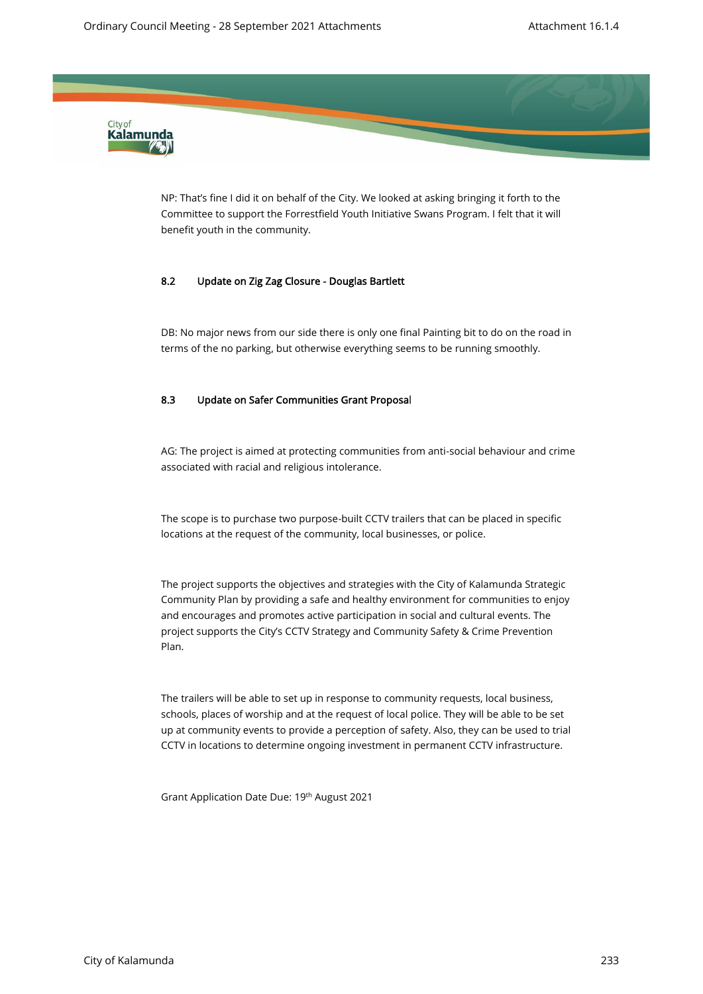

NP: That's fine I did it on behalf of the City. We looked at asking bringing it forth to the Committee to support the Forrestfield Youth Initiative Swans Program. I felt that it will benefit youth in the community.

#### 8.2 Update on Zig Zag Closure - Douglas Bartlett

DB: No major news from our side there is only one final Painting bit to do on the road in terms of the no parking, but otherwise everything seems to be running smoothly.

#### 8.3 Update on Safer Communities Grant Proposal

 AG: The project is aimed at protecting communities from anti-social behaviour and crime associated with racial and religious intolerance.

The scope is to purchase two purpose-built CCTV trailers that can be placed in specific locations at the request of the community, local businesses, or police.

The project supports the objectives and strategies with the City of Kalamunda Strategic Community Plan by providing a safe and healthy environment for communities to enjoy and encourages and promotes active participation in social and cultural events. The project supports the City's CCTV Strategy and Community Safety & Crime Prevention Plan.

The trailers will be able to set up in response to community requests, local business, schools, places of worship and at the request of local police. They will be able to be set up at community events to provide a perception of safety. Also, they can be used to trial CCTV in locations to determine ongoing investment in permanent CCTV infrastructure.

Grant Application Date Due: 19th August 2021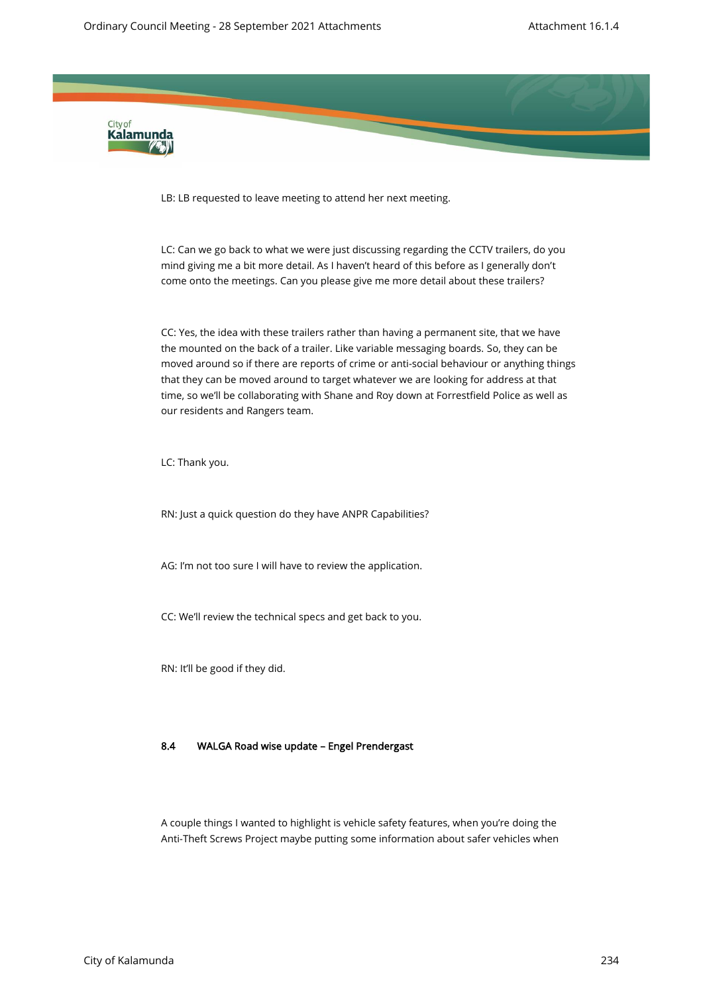

LB: LB requested to leave meeting to attend her next meeting.

LC: Can we go back to what we were just discussing regarding the CCTV trailers, do you mind giving me a bit more detail. As I haven't heard of this before as I generally don't come onto the meetings. Can you please give me more detail about these trailers?

CC: Yes, the idea with these trailers rather than having a permanent site, that we have the mounted on the back of a trailer. Like variable messaging boards. So, they can be moved around so if there are reports of crime or anti-social behaviour or anything things that they can be moved around to target whatever we are looking for address at that time, so we'll be collaborating with Shane and Roy down at Forrestfield Police as well as our residents and Rangers team.

LC: Thank you.

RN: Just a quick question do they have ANPR Capabilities?

AG: I'm not too sure I will have to review the application.

CC: We'll review the technical specs and get back to you.

RN: It'll be good if they did.

#### 8.4 WALGA Road wise update – Engel Prendergast

A couple things I wanted to highlight is vehicle safety features, when you're doing the Anti-Theft Screws Project maybe putting some information about safer vehicles when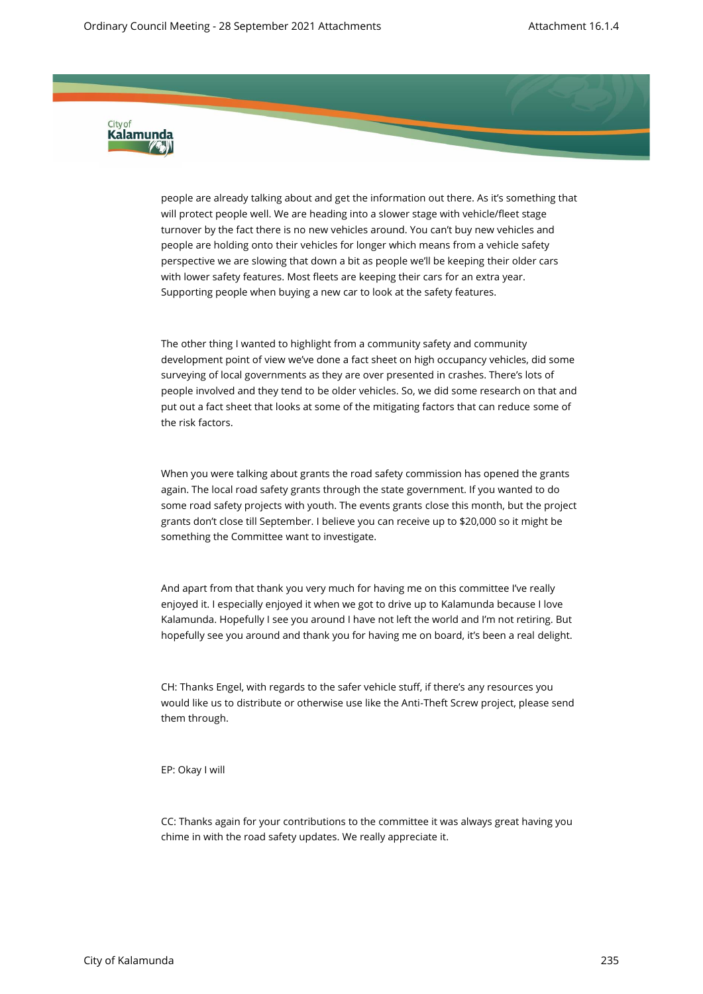

people are already talking about and get the information out there. As it's something that will protect people well. We are heading into a slower stage with vehicle/fleet stage turnover by the fact there is no new vehicles around. You can't buy new vehicles and people are holding onto their vehicles for longer which means from a vehicle safety perspective we are slowing that down a bit as people we'll be keeping their older cars with lower safety features. Most fleets are keeping their cars for an extra year. Supporting people when buying a new car to look at the safety features.

The other thing I wanted to highlight from a community safety and community development point of view we've done a fact sheet on high occupancy vehicles, did some surveying of local governments as they are over presented in crashes. There's lots of people involved and they tend to be older vehicles. So, we did some research on that and put out a fact sheet that looks at some of the mitigating factors that can reduce some of the risk factors.

When you were talking about grants the road safety commission has opened the grants again. The local road safety grants through the state government. If you wanted to do some road safety projects with youth. The events grants close this month, but the project grants don't close till September. I believe you can receive up to \$20,000 so it might be something the Committee want to investigate.

And apart from that thank you very much for having me on this committee I've really enjoyed it. I especially enjoyed it when we got to drive up to Kalamunda because I love Kalamunda. Hopefully I see you around I have not left the world and I'm not retiring. But hopefully see you around and thank you for having me on board, it's been a real delight.

CH: Thanks Engel, with regards to the safer vehicle stuff, if there's any resources you would like us to distribute or otherwise use like the Anti-Theft Screw project, please send them through.

EP: Okay I will

CC: Thanks again for your contributions to the committee it was always great having you chime in with the road safety updates. We really appreciate it.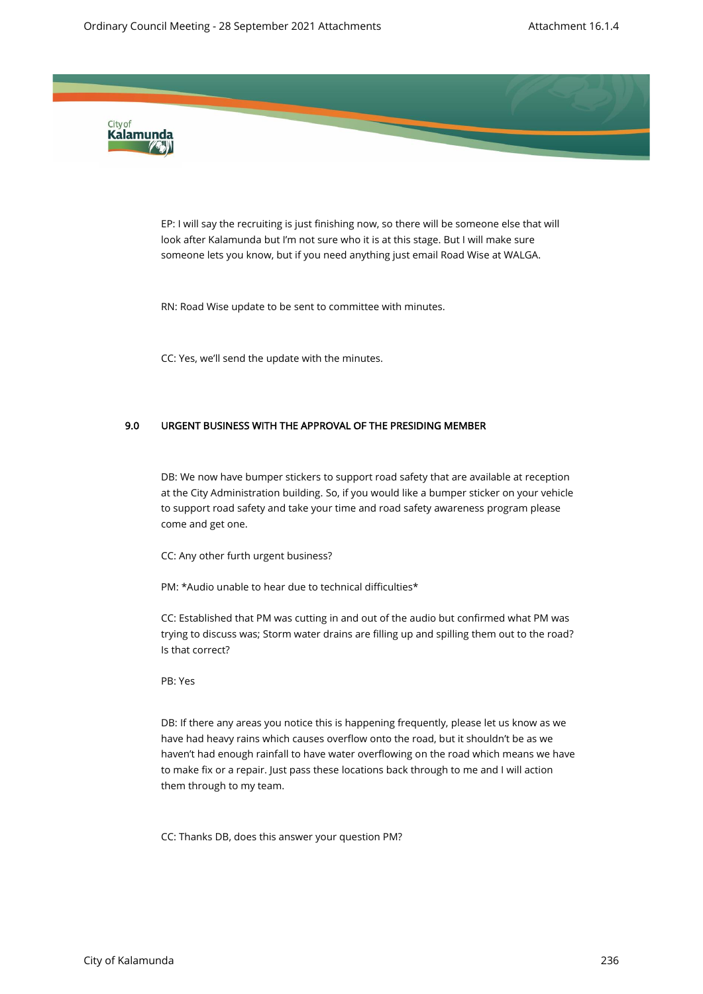

EP: I will say the recruiting is just finishing now, so there will be someone else that will look after Kalamunda but I'm not sure who it is at this stage. But I will make sure someone lets you know, but if you need anything just email Road Wise at WALGA.

RN: Road Wise update to be sent to committee with minutes.

CC: Yes, we'll send the update with the minutes.

#### 9.0 URGENT BUSINESS WITH THE APPROVAL OF THE PRESIDING MEMBER

DB: We now have bumper stickers to support road safety that are available at reception at the City Administration building. So, if you would like a bumper sticker on your vehicle to support road safety and take your time and road safety awareness program please come and get one.

CC: Any other furth urgent business?

PM: \*Audio unable to hear due to technical difficulties\*

CC: Established that PM was cutting in and out of the audio but confirmed what PM was trying to discuss was; Storm water drains are filling up and spilling them out to the road? Is that correct?

#### PB: Yes

DB: If there any areas you notice this is happening frequently, please let us know as we have had heavy rains which causes overflow onto the road, but it shouldn't be as we haven't had enough rainfall to have water overflowing on the road which means we have to make fix or a repair. Just pass these locations back through to me and I will action them through to my team.

CC: Thanks DB, does this answer your question PM?